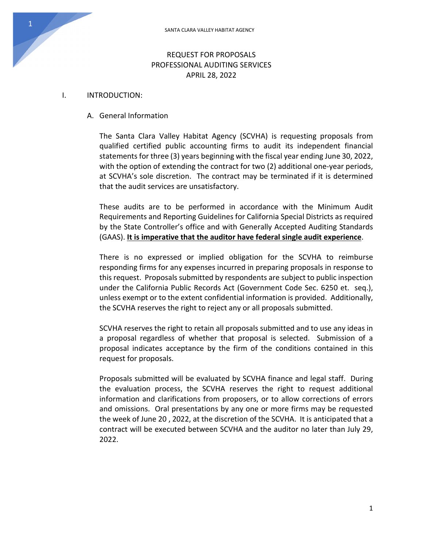# REQUEST FOR PROPOSALS PROFESSIONAL AUDITING SERVICES APRIL 28, 2022

#### I. INTRODUCTION:

#### A. General Information

The Santa Clara Valley Habitat Agency (SCVHA) is requesting proposals from qualified certified public accounting firms to audit its independent financial statements for three (3) years beginning with the fiscal year ending June 30, 2022, with the option of extending the contract for two (2) additional one-year periods, at SCVHA's sole discretion. The contract may be terminated if it is determined that the audit services are unsatisfactory.

These audits are to be performed in accordance with the Minimum Audit Requirements and Reporting Guidelines for California Special Districts as required by the State Controller's office and with Generally Accepted Auditing Standards (GAAS). **It is imperative that the auditor have federal single audit experience**.

There is no expressed or implied obligation for the SCVHA to reimburse responding firms for any expenses incurred in preparing proposals in response to this request. Proposals submitted by respondents are subject to public inspection under the California Public Records Act (Government Code Sec. 6250 et. seq.), unless exempt or to the extent confidential information is provided. Additionally, the SCVHA reserves the right to reject any or all proposals submitted.

SCVHA reserves the right to retain all proposals submitted and to use any ideas in a proposal regardless of whether that proposal is selected. Submission of a proposal indicates acceptance by the firm of the conditions contained in this request for proposals.

Proposals submitted will be evaluated by SCVHA finance and legal staff. During the evaluation process, the SCVHA reserves the right to request additional information and clarifications from proposers, or to allow corrections of errors and omissions. Oral presentations by any one or more firms may be requested the week of June 20 , 2022, at the discretion of the SCVHA. It is anticipated that a contract will be executed between SCVHA and the auditor no later than July 29, 2022.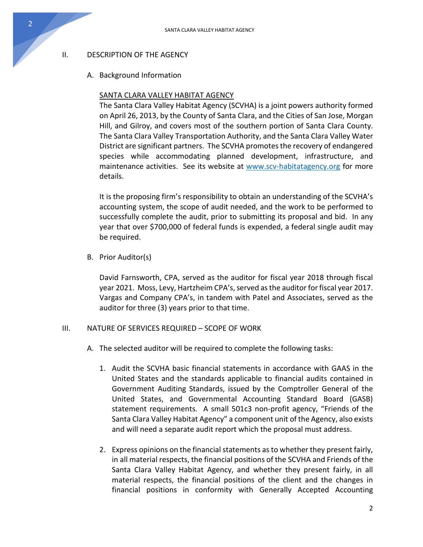## II. DESCRIPTION OF THE AGENCY

2

### A. Background Information

### SANTA CLARA VALLEY HABITAT AGENCY

The Santa Clara Valley Habitat Agency (SCVHA) is a joint powers authority formed on April 26, 2013, by the County of Santa Clara, and the Cities of San Jose, Morgan Hill, and Gilroy, and covers most of the southern portion of Santa Clara County. The Santa Clara Valley Transportation Authority, and the Santa Clara Valley Water District are significant partners. The SCVHA promotesthe recovery of endangered species while accommodating planned development, infrastructure, and maintenance activities. See its website at [www.scv-habitatagency.org](http://www.scv-habitatagency.org/) for more details.

It is the proposing firm's responsibility to obtain an understanding of the SCVHA's accounting system, the scope of audit needed, and the work to be performed to successfully complete the audit, prior to submitting its proposal and bid. In any year that over \$700,000 of federal funds is expended, a federal single audit may be required.

B. Prior Auditor(s)

David Farnsworth, CPA, served as the auditor for fiscal year 2018 through fiscal year 2021. Moss, Levy, Hartzheim CPA's, served as the auditor for fiscal year 2017. Vargas and Company CPA's, in tandem with Patel and Associates, served as the auditor for three (3) years prior to that time.

#### III. NATURE OF SERVICES REQUIRED – SCOPE OF WORK

- A. The selected auditor will be required to complete the following tasks:
	- 1. Audit the SCVHA basic financial statements in accordance with GAAS in the United States and the standards applicable to financial audits contained in Government Auditing Standards, issued by the Comptroller General of the United States, and Governmental Accounting Standard Board (GASB) statement requirements. A small 501c3 non-profit agency, "Friends of the Santa Clara Valley Habitat Agency" a component unit of the Agency, also exists and will need a separate audit report which the proposal must address.
	- 2. Express opinions on the financial statements as to whether they present fairly, in all material respects, the financial positions of the SCVHA and Friends of the Santa Clara Valley Habitat Agency, and whether they present fairly, in all material respects, the financial positions of the client and the changes in financial positions in conformity with Generally Accepted Accounting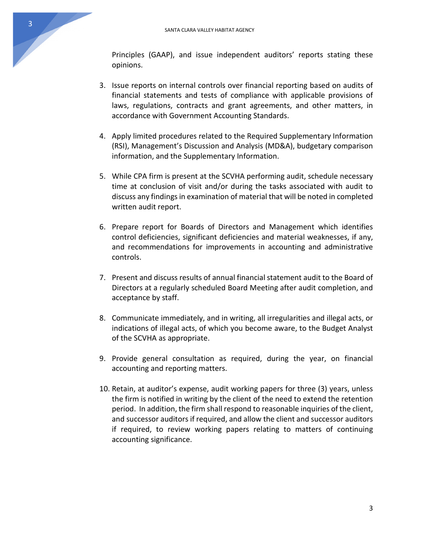Principles (GAAP), and issue independent auditors' reports stating these opinions.

- 3. Issue reports on internal controls over financial reporting based on audits of financial statements and tests of compliance with applicable provisions of laws, regulations, contracts and grant agreements, and other matters, in accordance with Government Accounting Standards.
- 4. Apply limited procedures related to the Required Supplementary Information (RSI), Management's Discussion and Analysis (MD&A), budgetary comparison information, and the Supplementary Information.
- 5. While CPA firm is present at the SCVHA performing audit, schedule necessary time at conclusion of visit and/or during the tasks associated with audit to discuss any findings in examination of material that will be noted in completed written audit report.
- 6. Prepare report for Boards of Directors and Management which identifies control deficiencies, significant deficiencies and material weaknesses, if any, and recommendations for improvements in accounting and administrative controls.
- 7. Present and discuss results of annual financial statement audit to the Board of Directors at a regularly scheduled Board Meeting after audit completion, and acceptance by staff.
- 8. Communicate immediately, and in writing, all irregularities and illegal acts, or indications of illegal acts, of which you become aware, to the Budget Analyst of the SCVHA as appropriate.
- 9. Provide general consultation as required, during the year, on financial accounting and reporting matters.
- 10. Retain, at auditor's expense, audit working papers for three (3) years, unless the firm is notified in writing by the client of the need to extend the retention period. In addition, the firm shall respond to reasonable inquiries of the client, and successor auditors if required, and allow the client and successor auditors if required, to review working papers relating to matters of continuing accounting significance.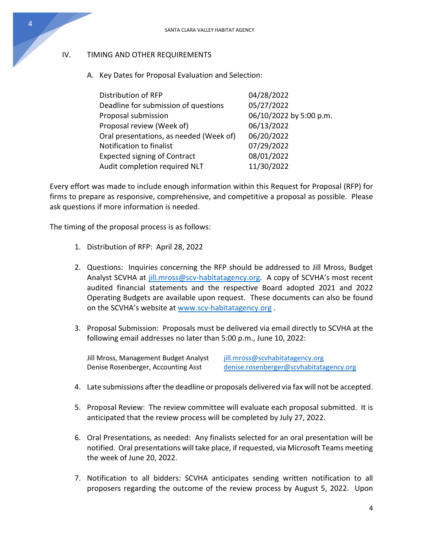# IV. TIMING AND OTHER REQUIREMENTS

A. Key Dates for Proposal Evaluation and Selection:

| Distribution of RFP                     | 04/28/2022              |
|-----------------------------------------|-------------------------|
| Deadline for submission of questions    | 05/27/2022              |
| Proposal submission                     | 06/10/2022 by 5:00 p.m. |
| Proposal review (Week of)               | 06/13/2022              |
| Oral presentations, as needed (Week of) | 06/20/2022              |
| Notification to finalist                | 07/29/2022              |
| <b>Expected signing of Contract</b>     | 08/01/2022              |
| Audit completion required NLT           | 11/30/2022              |

Every effort was made to include enough information within this Request for Proposal (RFP) for firms to prepare as responsive, comprehensive, and competitive a proposal as possible. Please ask questions if more information is needed.

The timing of the proposal process is as follows:

- 1. Distribution of RFP: April 28, 2022
- 2. Questions: Inquiries concerning the RFP should be addressed to Jill Mross, Budget Analyst SCVHA at [jill.mross@scv-habitatagency.org.](mailto:jill.mross@scv-habitatagency.org) A copy of SCVHA's most recent audited financial statements and the respective Board adopted 2021 and 2022 Operating Budgets are available upon request. These documents can also be found on the SCVHA's website at [www.scv-habitatagency.org](http://www.scv-habitatagency.org/) .
- 3. Proposal Submission: Proposals must be delivered via email directly to SCVHA at the following email addresses no later than 5:00 p.m., June 10, 2022:

Jill Mross, Management Budget Analyst [jill.mross@scvhabitatagency.org](mailto:jill.mross@scvhabitatagency.org)

Denise Rosenberger, Accounting Asst [denise.rosenberger@scvhabitatagency.org](mailto:denise.rosenberger@scvhabitatagency.org)

- 4. Late submissions after the deadline or proposals delivered via fax will not be accepted.
- 5. Proposal Review: The review committee will evaluate each proposal submitted. It is anticipated that the review process will be completed by July 27, 2022.
- 6. Oral Presentations, as needed: Any finalists selected for an oral presentation will be notified. Oral presentations will take place, if requested, via Microsoft Teams meeting the week of June 20, 2022.
- 7. Notification to all bidders: SCVHA anticipates sending written notification to all proposers regarding the outcome of the review process by August 5, 2022. Upon

4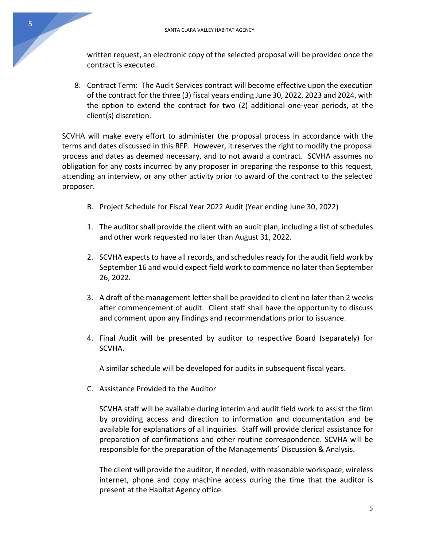written request, an electronic copy of the selected proposal will be provided once the contract is executed.

8. Contract Term: The Audit Services contract will become effective upon the execution of the contract for the three (3) fiscal years ending June 30, 2022, 2023 and 2024, with the option to extend the contract for two (2) additional one-year periods, at the client(s) discretion.

SCVHA will make every effort to administer the proposal process in accordance with the terms and dates discussed in this RFP. However, it reserves the right to modify the proposal process and dates as deemed necessary, and to not award a contract. SCVHA assumes no obligation for any costs incurred by any proposer in preparing the response to this request, attending an interview, or any other activity prior to award of the contract to the selected proposer.

- B. Project Schedule for Fiscal Year 2022 Audit (Year ending June 30, 2022)
- 1. The auditor shall provide the client with an audit plan, including a list of schedules and other work requested no later than August 31, 2022.
- 2. SCVHA expects to have all records, and schedules ready for the audit field work by September 16 and would expect field work to commence no later than September 26, 2022.
- 3. A draft of the management letter shall be provided to client no later than 2 weeks after commencement of audit. Client staff shall have the opportunity to discuss and comment upon any findings and recommendations prior to issuance.
- 4. Final Audit will be presented by auditor to respective Board (separately) for SCVHA.

A similar schedule will be developed for audits in subsequent fiscal years.

C. Assistance Provided to the Auditor

SCVHA staff will be available during interim and audit field work to assist the firm by providing access and direction to information and documentation and be available for explanations of all inquiries. Staff will provide clerical assistance for preparation of confirmations and other routine correspondence. SCVHA will be responsible for the preparation of the Managements' Discussion & Analysis.

The client will provide the auditor, if needed, with reasonable workspace, wireless internet, phone and copy machine access during the time that the auditor is present at the Habitat Agency office.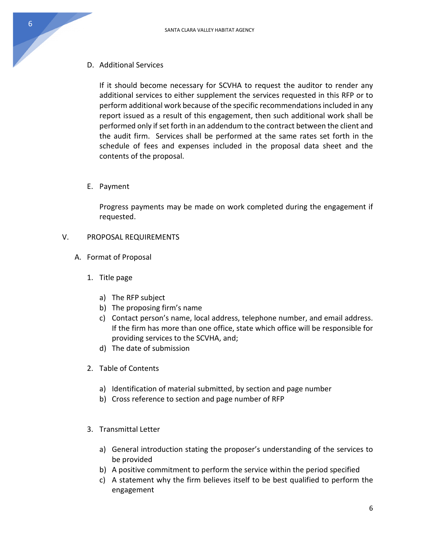D. Additional Services

If it should become necessary for SCVHA to request the auditor to render any additional services to either supplement the services requested in this RFP or to perform additional work because of the specific recommendationsincluded in any report issued as a result of this engagement, then such additional work shall be performed only if set forth in an addendum to the contract between the client and the audit firm. Services shall be performed at the same rates set forth in the schedule of fees and expenses included in the proposal data sheet and the contents of the proposal.

E. Payment

Progress payments may be made on work completed during the engagement if requested.

- V. PROPOSAL REQUIREMENTS
	- A. Format of Proposal
		- 1. Title page
			- a) The RFP subject
			- b) The proposing firm's name
			- c) Contact person's name, local address, telephone number, and email address. If the firm has more than one office, state which office will be responsible for providing services to the SCVHA, and;
			- d) The date of submission
		- 2. Table of Contents
			- a) Identification of material submitted, by section and page number
			- b) Cross reference to section and page number of RFP
		- 3. Transmittal Letter
			- a) General introduction stating the proposer's understanding of the services to be provided
			- b) A positive commitment to perform the service within the period specified
			- c) A statement why the firm believes itself to be best qualified to perform the engagement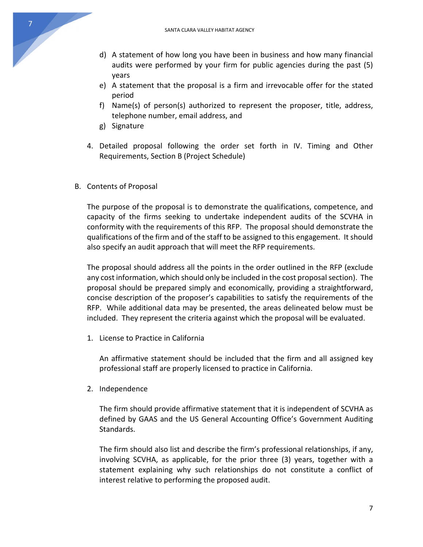- d) A statement of how long you have been in business and how many financial audits were performed by your firm for public agencies during the past (5) years
- e) A statement that the proposal is a firm and irrevocable offer for the stated period
- f) Name(s) of person(s) authorized to represent the proposer, title, address, telephone number, email address, and
- g) Signature
- 4. Detailed proposal following the order set forth in IV. Timing and Other Requirements, Section B (Project Schedule)
- B. Contents of Proposal

The purpose of the proposal is to demonstrate the qualifications, competence, and capacity of the firms seeking to undertake independent audits of the SCVHA in conformity with the requirements of this RFP. The proposal should demonstrate the qualifications of the firm and of the staff to be assigned to this engagement. It should also specify an audit approach that will meet the RFP requirements.

The proposal should address all the points in the order outlined in the RFP (exclude any cost information, which should only be included in the cost proposal section). The proposal should be prepared simply and economically, providing a straightforward, concise description of the proposer's capabilities to satisfy the requirements of the RFP. While additional data may be presented, the areas delineated below must be included. They represent the criteria against which the proposal will be evaluated.

1. License to Practice in California

An affirmative statement should be included that the firm and all assigned key professional staff are properly licensed to practice in California.

2. Independence

The firm should provide affirmative statement that it is independent of SCVHA as defined by GAAS and the US General Accounting Office's Government Auditing Standards.

The firm should also list and describe the firm's professional relationships, if any, involving SCVHA, as applicable, for the prior three (3) years, together with a statement explaining why such relationships do not constitute a conflict of interest relative to performing the proposed audit.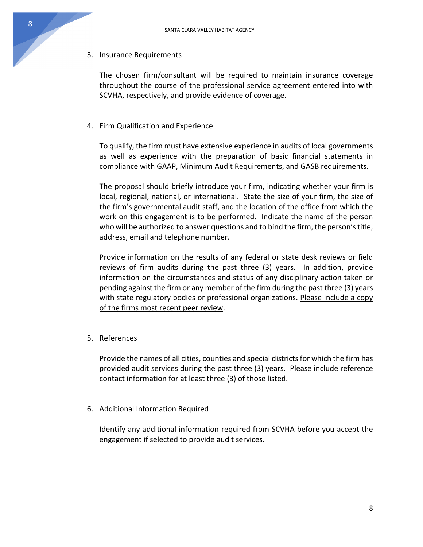3. Insurance Requirements

The chosen firm/consultant will be required to maintain insurance coverage throughout the course of the professional service agreement entered into with SCVHA, respectively, and provide evidence of coverage.

4. Firm Qualification and Experience

To qualify, the firm must have extensive experience in audits of local governments as well as experience with the preparation of basic financial statements in compliance with GAAP, Minimum Audit Requirements, and GASB requirements.

The proposal should briefly introduce your firm, indicating whether your firm is local, regional, national, or international. State the size of your firm, the size of the firm's governmental audit staff, and the location of the office from which the work on this engagement is to be performed. Indicate the name of the person who will be authorized to answer questions and to bind the firm, the person's title, address, email and telephone number.

Provide information on the results of any federal or state desk reviews or field reviews of firm audits during the past three (3) years. In addition, provide information on the circumstances and status of any disciplinary action taken or pending against the firm or any member of the firm during the past three (3) years with state regulatory bodies or professional organizations. Please include a copy of the firms most recent peer review.

5. References

Provide the names of all cities, counties and special districts for which the firm has provided audit services during the past three (3) years. Please include reference contact information for at least three (3) of those listed.

6. Additional Information Required

Identify any additional information required from SCVHA before you accept the engagement if selected to provide audit services.